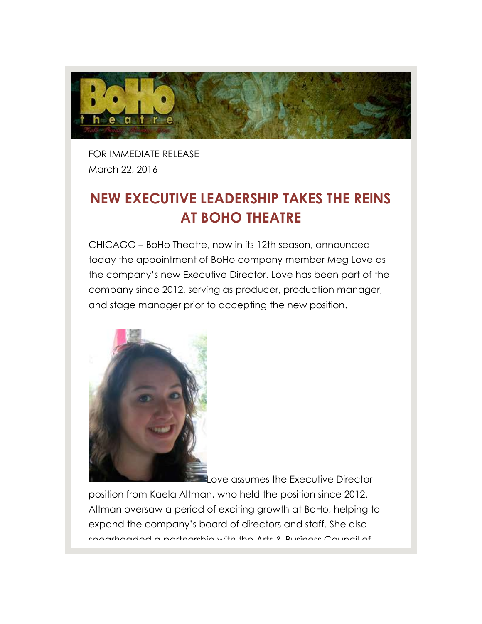

FOR IMMEDIATE RELEASE March 22, 2016

## **NEW EXECUTIVE LEADERSHIP TAKES THE REINS AT BOHO THEATRE**

CHICAGO – BoHo Theatre, now in its 12th season, announced today the appointment of BoHo company member Meg Love as the company's new Executive Director. Love has been part of the company since 2012, serving as producer, production manager, and stage manager prior to accepting the new position.



Love assumes the Executive Director

position from Kaela Altman, who held the position since 2012. Altman oversaw a period of exciting growth at BoHo, helping to expand the company's board of directors and staff. She also spearheaded a partnership with the Arts & Business Council of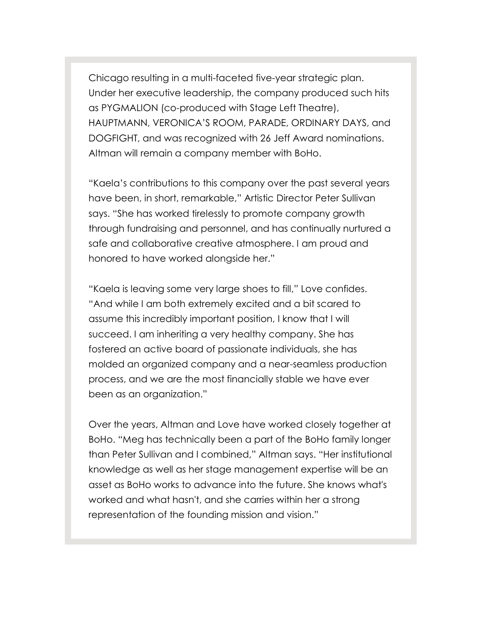Chicago resulting in a multi-faceted five-year strategic plan. Under her executive leadership, the company produced such hits as PYGMALION (co-produced with Stage Left Theatre), HAUPTMANN, VERONICA'S ROOM, PARADE, ORDINARY DAYS, and DOGFIGHT, and was recognized with 26 Jeff Award nominations. Altman will remain a company member with BoHo.

"Kaela's contributions to this company over the past several years have been, in short, remarkable," Artistic Director Peter Sullivan says. "She has worked tirelessly to promote company growth through fundraising and personnel, and has continually nurtured a safe and collaborative creative atmosphere. I am proud and honored to have worked alongside her."

"Kaela is leaving some very large shoes to fill," Love confides. "And while I am both extremely excited and a bit scared to assume this incredibly important position, I know that I will succeed. I am inheriting a very healthy company. She has fostered an active board of passionate individuals, she has molded an organized company and a near-seamless production process, and we are the most financially stable we have ever been as an organization."

Over the years, Altman and Love have worked closely together at BoHo. "Meg has technically been a part of the BoHo family longer than Peter Sullivan and I combined," Altman says. "Her institutional knowledge as well as her stage management expertise will be an asset as BoHo works to advance into the future. She knows what's worked and what hasn't, and she carries within her a strong representation of the founding mission and vision."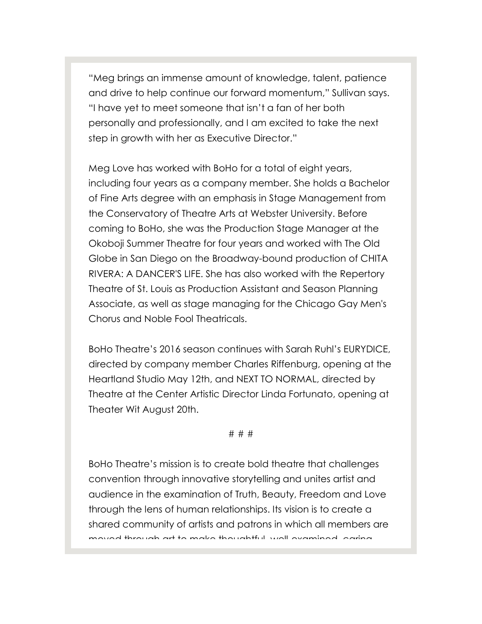"Meg brings an immense amount of knowledge, talent, patience and drive to help continue our forward momentum," Sullivan says. "I have yet to meet someone that isn't a fan of her both personally and professionally, and I am excited to take the next step in growth with her as Executive Director."

Meg Love has worked with BoHo for a total of eight years, including four years as a company member. She holds a Bachelor of Fine Arts degree with an emphasis in Stage Management from the Conservatory of Theatre Arts at Webster University. Before coming to BoHo, she was the Production Stage Manager at the Okoboji Summer Theatre for four years and worked with The Old Globe in San Diego on the Broadway-bound production of CHITA RIVERA: A DANCER'S LIFE. She has also worked with the Repertory Theatre of St. Louis as Production Assistant and Season Planning Associate, as well as stage managing for the Chicago Gay Men's Chorus and Noble Fool Theatricals.

BoHo Theatre's 2016 season continues with Sarah Ruhl's EURYDICE, directed by company member Charles Riffenburg, opening at the Heartland Studio May 12th, and NEXT TO NORMAL, directed by Theatre at the Center Artistic Director Linda Fortunato, opening at Theater Wit August 20th.

## # # #

BoHo Theatre's mission is to create bold theatre that challenges convention through innovative storytelling and unites artist and audience in the examination of Truth, Beauty, Freedom and Love through the lens of human relationships. Its vision is to create a shared community of artists and patrons in which all members are moved through art to make thoughtful, well-examined, caring